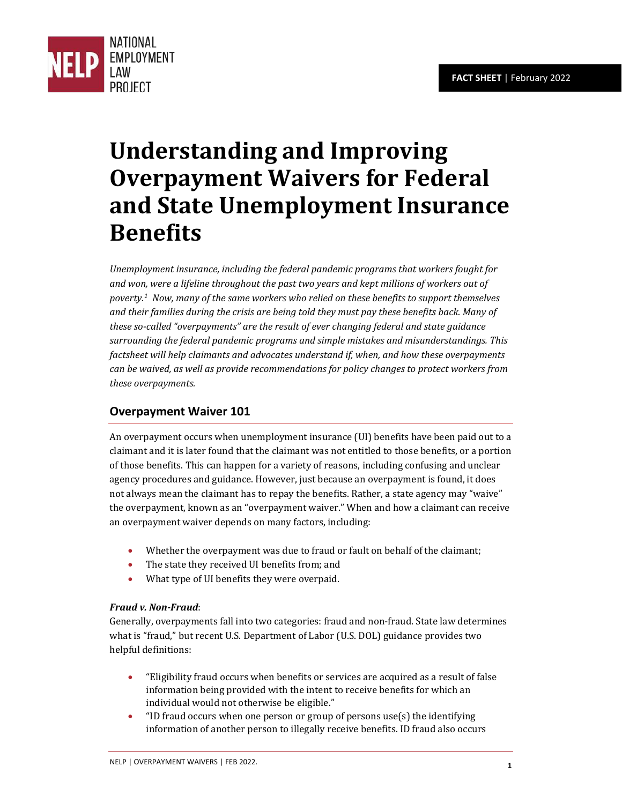

# **Understanding and Improving Overpayment Waivers for Federal and State Unemployment Insurance Benefits**

*Unemployment insurance, including the federal pandemic programs that workers fought for and won, were a lifeline throughout the past two years and kept millions of workers out of poverty.[1](#page-6-0) Now, many of the same workers who relied on these benefits to support themselves and their families during the crisis are being told they must pay these benefits back. Many of these so-called "overpayments" are the result of ever changing federal and state guidance surrounding the federal pandemic programs and simple mistakes and misunderstandings. This factsheet will help claimants and advocates understand if, when, and how these overpayments can be waived, as well as provide recommendations for policy changes to protect workers from these overpayments.* 

## **Overpayment Waiver 101**

An overpayment occurs when unemployment insurance (UI) benefits have been paid out to a claimant and it is later found that the claimant was not entitled to those benefits, or a portion of those benefits. This can happen for a variety of reasons, including confusing and unclear agency procedures and guidance. However, just because an overpayment is found, it does not always mean the claimant has to repay the benefits. Rather, a state agency may "waive" the overpayment, known as an "overpayment waiver." When and how a claimant can receive an overpayment waiver depends on many factors, including:

- Whether the overpayment was due to fraud or fault on behalf of the claimant;
- The state they received UI benefits from; and
- What type of UI benefits they were overpaid.

### *Fraud v. Non-Fraud*:

Generally, overpayments fall into two categories: fraud and non-fraud. State law determines what is "fraud," but recent U.S. Department of Labor (U.S. DOL) guidance provides two helpful definitions:

- "Eligibility fraud occurs when benefits or services are acquired as a result of false information being provided with the intent to receive benefits for which an individual would not otherwise be eligible."
- "ID fraud occurs when one person or group of persons use(s) the identifying information of another person to illegally receive benefits. ID fraud also occurs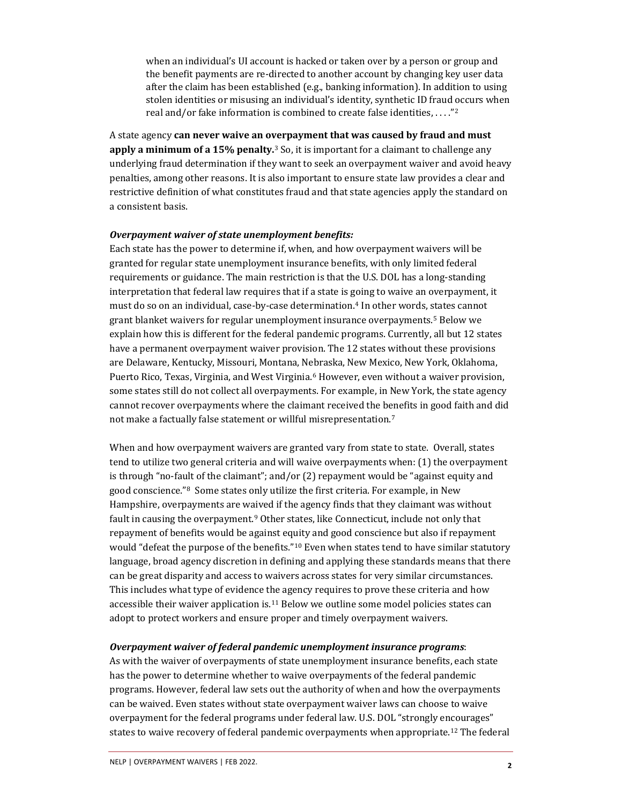when an individual's UI account is hacked or taken over by a person or group and the benefit payments are re-directed to another account by changing key user data after the claim has been established (e.g., banking information). In addition to using stolen identities or misusing an individual's identity, synthetic ID fraud occurs when real and/or fake information is combined to create false identities, . . . ."[2](#page-6-1)

A state agency **can never waive an overpayment that was caused by fraud and must apply a minimum of a 15% penalty.**[3](#page-6-2) So, it is important for a claimant to challenge any underlying fraud determination if they want to seek an overpayment waiver and avoid heavy penalties, among other reasons. It is also important to ensure state law provides a clear and restrictive definition of what constitutes fraud and that state agencies apply the standard on a consistent basis.

#### *Overpayment waiver of state unemployment benefits:*

Each state has the power to determine if, when, and how overpayment waivers will be granted for regular state unemployment insurance benefits, with only limited federal requirements or guidance. The main restriction is that the U.S. DOL has a long-standing interpretation that federal law requires that if a state is going to waive an overpayment, it must do so on an individual, case-by-case determination.[4](#page-6-3) In other words, states cannot grant blanket waivers for regular unemployment insurance overpayments.[5](#page-6-4) Below we explain how this is different for the federal pandemic programs. Currently, all but 12 states have a permanent overpayment waiver provision. The 12 states without these provisions are Delaware, Kentucky, Missouri, Montana, Nebraska, New Mexico, New York, Oklahoma, Puerto Rico, Texas, Virginia, and West Virginia.[6](#page-6-5) However, even without a waiver provision, some states still do not collect all overpayments. For example, in New York, the state agency cannot recover overpayments where the claimant received the benefits in good faith and did not make a factually false statement or willful misrepresentation.<sup>[7](#page-6-6)</sup>

When and how overpayment waivers are granted vary from state to state. Overall, states tend to utilize two general criteria and will waive overpayments when: (1) the overpayment is through "no-fault of the claimant"; and/or (2) repayment would be "against equity and good conscience."[8](#page-6-7) Some states only utilize the first criteria. For example, in New Hampshire, overpayments are waived if the agency finds that they claimant was without fault in causing the overpayment.<sup>[9](#page-6-8)</sup> Other states, like Connecticut, include not only that repayment of benefits would be against equity and good conscience but also if repayment would "defeat the purpose of the benefits."<sup>[10](#page-6-9)</sup> Even when states tend to have similar statutory language, broad agency discretion in defining and applying these standards means that there can be great disparity and access to waivers across states for very similar circumstances. This includes what type of evidence the agency requires to prove these criteria and how accessible their waiver application is.[11](#page-6-10) Below we outline some model policies states can adopt to protect workers and ensure proper and timely overpayment waivers.

#### *Overpayment waiver of federal pandemic unemployment insurance programs*:

As with the waiver of overpayments of state unemployment insurance benefits, each state has the power to determine whether to waive overpayments of the federal pandemic programs. However, federal law sets out the authority of when and how the overpayments can be waived. Even states without state overpayment waiver laws can choose to waive overpayment for the federal programs under federal law. U.S. DOL "strongly encourages" states to waive recovery of federal pandemic overpayments when appropriate.<sup>[12](#page-6-11)</sup> The federal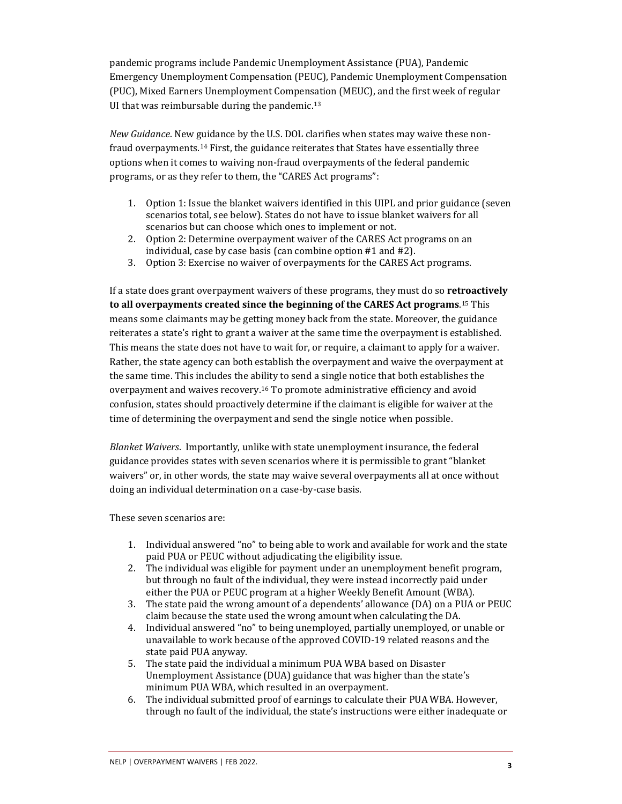pandemic programs include Pandemic Unemployment Assistance (PUA), Pandemic Emergency Unemployment Compensation (PEUC), Pandemic Unemployment Compensation (PUC), Mixed Earners Unemployment Compensation (MEUC), and the first week of regular UI that was reimbursable during the pandemic.<sup>[13](#page-6-12)</sup>

*New Guidance*. New guidance by the U.S. DOL clarifies when states may waive these non-fraud overpayments.<sup>[14](#page-6-13)</sup> First, the guidance reiterates that States have essentially three options when it comes to waiving non-fraud overpayments of the federal pandemic programs, or as they refer to them, the "CARES Act programs":

- 1. Option 1: Issue the blanket waivers identified in this UIPL and prior guidance (seven scenarios total, see below). States do not have to issue blanket waivers for all scenarios but can choose which ones to implement or not.
- 2. Option 2: Determine overpayment waiver of the CARES Act programs on an individual, case by case basis (can combine option #1 and #2).
- 3. Option 3: Exercise no waiver of overpayments for the CARES Act programs.

If a state does grant overpayment waivers of these programs, they must do so **retroactively to all overpayments created since the beginning of the CARES Act programs**. [15](#page-6-14) This means some claimants may be getting money back from the state. Moreover, the guidance reiterates a state's right to grant a waiver at the same time the overpayment is established. This means the state does not have to wait for, or require, a claimant to apply for a waiver. Rather, the state agency can both establish the overpayment and waive the overpayment at the same time. This includes the ability to send a single notice that both establishes the overpayment and waives recovery.[16](#page-6-15) To promote administrative efficiency and avoid confusion, states should proactively determine if the claimant is eligible for waiver at the time of determining the overpayment and send the single notice when possible.

*Blanket Waivers*. Importantly, unlike with state unemployment insurance, the federal guidance provides states with seven scenarios where it is permissible to grant "blanket waivers" or, in other words, the state may waive several overpayments all at once without doing an individual determination on a case-by-case basis.

These seven scenarios are:

- 1. Individual answered "no" to being able to work and available for work and the state paid PUA or PEUC without adjudicating the eligibility issue.
- 2. The individual was eligible for payment under an unemployment benefit program, but through no fault of the individual, they were instead incorrectly paid under either the PUA or PEUC program at a higher Weekly Benefit Amount (WBA).
- 3. The state paid the wrong amount of a dependents' allowance (DA) on a PUA or PEUC claim because the state used the wrong amount when calculating the DA.
- 4. Individual answered "no" to being unemployed, partially unemployed, or unable or unavailable to work because of the approved COVID-19 related reasons and the state paid PUA anyway.
- 5. The state paid the individual a minimum PUA WBA based on Disaster Unemployment Assistance (DUA) guidance that was higher than the state's minimum PUA WBA, which resulted in an overpayment.
- 6. The individual submitted proof of earnings to calculate their PUA WBA. However, through no fault of the individual, the state's instructions were either inadequate or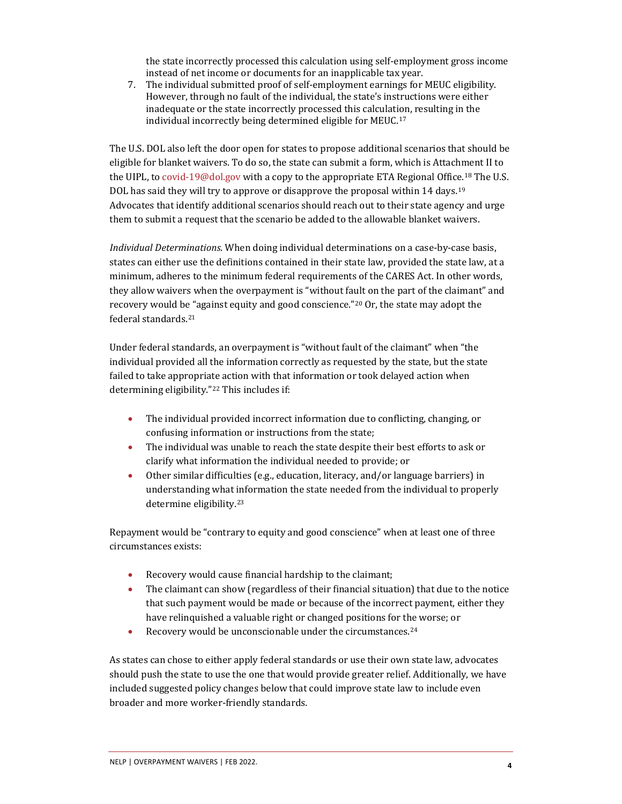the state incorrectly processed this calculation using self-employment gross income instead of net income or documents for an inapplicable tax year.

7. The individual submitted proof of self-employment earnings for MEUC eligibility. However, through no fault of the individual, the state's instructions were either inadequate or the state incorrectly processed this calculation, resulting in the individual incorrectly being determined eligible for MEUC.[17](#page-6-16)

The U.S. DOL also left the door open for states to propose additional scenarios that should be eligible for blanket waivers. To do so, the state can submit a form, which is Attachment II to the UIPL, to [covid-19@dol.gov](mailto:covid-19@dol.gov) with a copy to the appropriate ETA Regional Office.<sup>[18](#page-6-17)</sup> The U.S. DOL has said they will try to approve or disapprove the proposal within 14 days.<sup>[19](#page-6-18)</sup> Advocates that identify additional scenarios should reach out to their state agency and urge them to submit a request that the scenario be added to the allowable blanket waivers.

*Individual Determinations*. When doing individual determinations on a case-by-case basis, states can either use the definitions contained in their state law, provided the state law, at a minimum, adheres to the minimum federal requirements of the CARES Act. In other words, they allow waivers when the overpayment is "without fault on the part of the claimant" and recovery would be "against equity and good conscience."[20](#page-6-19) Or, the state may adopt the federal standards.[21](#page-6-20)

Under federal standards, an overpayment is "without fault of the claimant" when "the individual provided all the information correctly as requested by the state, but the state failed to take appropriate action with that information or took delayed action when determining eligibility."[22](#page-6-21) This includes if:

- The individual provided incorrect information due to conflicting, changing, or confusing information or instructions from the state;
- The individual was unable to reach the state despite their best efforts to ask or clarify what information the individual needed to provide; or
- Other similar difficulties (e.g., education, literacy, and/or language barriers) in understanding what information the state needed from the individual to properly determine eligibility. [23](#page-6-22)

Repayment would be "contrary to equity and good conscience" when at least one of three circumstances exists:

- Recovery would cause financial hardship to the claimant;
- The claimant can show (regardless of their financial situation) that due to the notice that such payment would be made or because of the incorrect payment, either they have relinquished a valuable right or changed positions for the worse; or
- Recovery would be unconscionable under the circumstances.<sup>[24](#page-7-0)</sup>

As states can chose to either apply federal standards or use their own state law, advocates should push the state to use the one that would provide greater relief. Additionally, we have included suggested policy changes below that could improve state law to include even broader and more worker-friendly standards.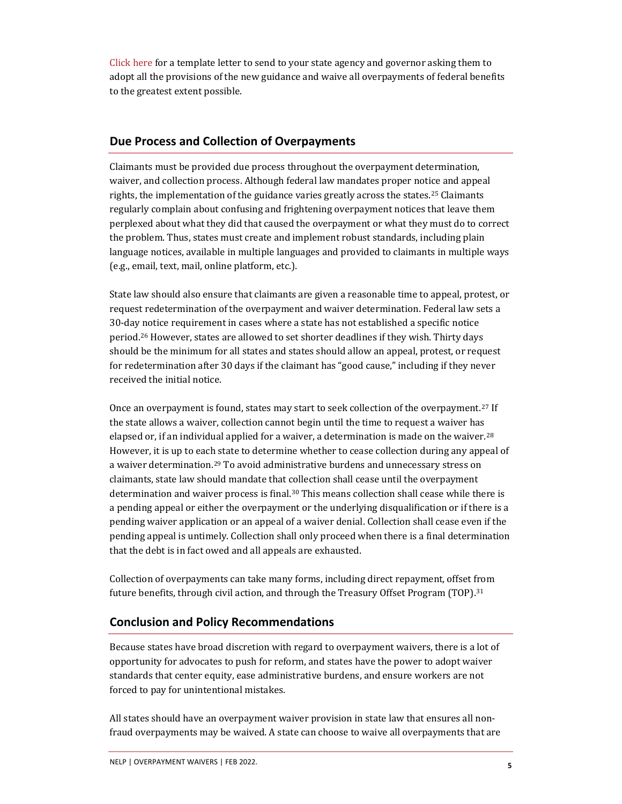[Click here](http://www.nelp.org/wp-content/uploads/UI-Overpayment-Waivers-Letter.docx) for a template letter to send to your state agency and governor asking them to adopt all the provisions of the new guidance and waive all overpayments of federal benefits to the greatest extent possible.

## **Due Process and Collection of Overpayments**

Claimants must be provided due process throughout the overpayment determination, waiver, and collection process. Although federal law mandates proper notice and appeal rights, the implementation of the guidance varies greatly across the states.[25](#page-7-1) Claimants regularly complain about confusing and frightening overpayment notices that leave them perplexed about what they did that caused the overpayment or what they must do to correct the problem. Thus, states must create and implement robust standards, including plain language notices, available in multiple languages and provided to claimants in multiple ways (e.g., email, text, mail, online platform, etc.).

State law should also ensure that claimants are given a reasonable time to appeal, protest, or request redetermination of the overpayment and waiver determination. Federal law sets a 30-day notice requirement in cases where a state has not established a specific notice period.[26](#page-7-2) However, states are allowed to set shorter deadlines if they wish. Thirty days should be the minimum for all states and states should allow an appeal, protest, or request for redetermination after 30 days if the claimant has "good cause," including if they never received the initial notice.

Once an overpayment is found, states may start to seek collection of the overpayment.[27](#page-7-3) If the state allows a waiver, collection cannot begin until the time to request a waiver has elapsed or, if an individual applied for a waiver, a determination is made on the waiver.<sup>[28](#page-7-4)</sup> However, it is up to each state to determine whether to cease collection during any appeal of a waiver determination.<sup>[29](#page-7-5)</sup> To avoid administrative burdens and unnecessary stress on claimants, state law should mandate that collection shall cease until the overpayment determination and waiver process is final.<sup>[30](#page-7-6)</sup> This means collection shall cease while there is a pending appeal or either the overpayment or the underlying disqualification or if there is a pending waiver application or an appeal of a waiver denial. Collection shall cease even if the pending appeal is untimely. Collection shall only proceed when there is a final determination that the debt is in fact owed and all appeals are exhausted.

Collection of overpayments can take many forms, including direct repayment, offset from future benefits, through civil action, and through the Treasury Offset Program (TOP).[31](#page-7-7)

## **Conclusion and Policy Recommendations**

Because states have broad discretion with regard to overpayment waivers, there is a lot of opportunity for advocates to push for reform, and states have the power to adopt waiver standards that center equity, ease administrative burdens, and ensure workers are not forced to pay for unintentional mistakes.

All states should have an overpayment waiver provision in state law that ensures all nonfraud overpayments may be waived. A state can choose to waive all overpayments that are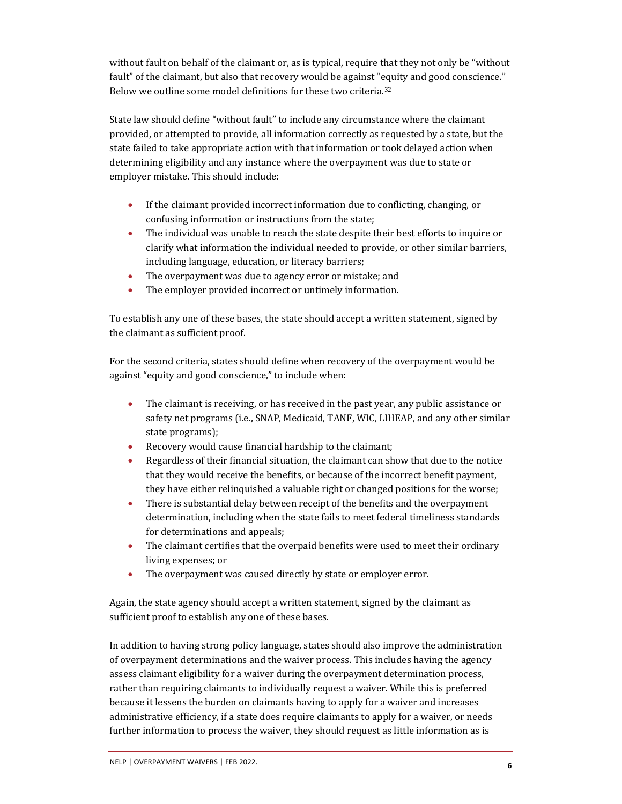without fault on behalf of the claimant or, as is typical, require that they not only be "without fault" of the claimant, but also that recovery would be against "equity and good conscience." Below we outline some model definitions for these two criteria.[32](#page-7-8)

State law should define "without fault" to include any circumstance where the claimant provided, or attempted to provide, all information correctly as requested by a state, but the state failed to take appropriate action with that information or took delayed action when determining eligibility and any instance where the overpayment was due to state or employer mistake. This should include:

- If the claimant provided incorrect information due to conflicting, changing, or confusing information or instructions from the state;
- The individual was unable to reach the state despite their best efforts to inquire or clarify what information the individual needed to provide, or other similar barriers, including language, education, or literacy barriers;
- The overpayment was due to agency error or mistake; and
- The employer provided incorrect or untimely information.

To establish any one of these bases, the state should accept a written statement, signed by the claimant as sufficient proof.

For the second criteria, states should define when recovery of the overpayment would be against "equity and good conscience," to include when:

- The claimant is receiving, or has received in the past year, any public assistance or safety net programs (i.e., SNAP, Medicaid, TANF, WIC, LIHEAP, and any other similar state programs);
- Recovery would cause financial hardship to the claimant;
- Regardless of their financial situation, the claimant can show that due to the notice that they would receive the benefits, or because of the incorrect benefit payment, they have either relinquished a valuable right or changed positions for the worse;
- There is substantial delay between receipt of the benefits and the overpayment determination, including when the state fails to meet federal timeliness standards for determinations and appeals;
- The claimant certifies that the overpaid benefits were used to meet their ordinary living expenses; or
- The overpayment was caused directly by state or employer error.

Again, the state agency should accept a written statement, signed by the claimant as sufficient proof to establish any one of these bases.

In addition to having strong policy language, states should also improve the administration of overpayment determinations and the waiver process. This includes having the agency assess claimant eligibility for a waiver during the overpayment determination process, rather than requiring claimants to individually request a waiver. While this is preferred because it lessens the burden on claimants having to apply for a waiver and increases administrative efficiency, if a state does require claimants to apply for a waiver, or needs further information to process the waiver, they should request as little information as is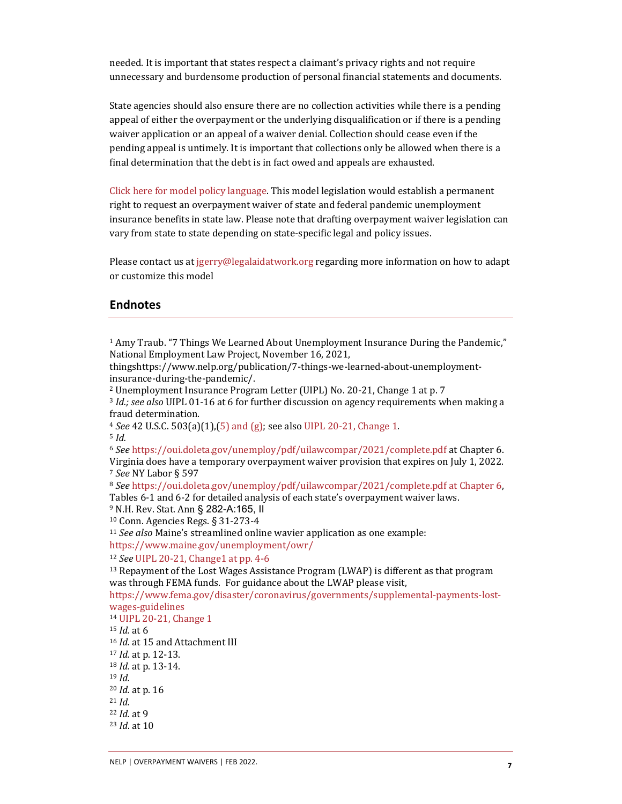needed. It is important that states respect a claimant's privacy rights and not require unnecessary and burdensome production of personal financial statements and documents.

State agencies should also ensure there are no collection activities while there is a pending appeal of either the overpayment or the underlying disqualification or if there is a pending waiver application or an appeal of a waiver denial. Collection should cease even if the pending appeal is untimely. It is important that collections only be allowed when there is a final determination that the debt is in fact owed and appeals are exhausted.

[Click here for model policy language.](http://www.nelp.org/wp-content/uploads/Model-Pandemic-Overpayment-Waiver-Law-2022.docx) This model legislation would establish a permanent right to request an overpayment waiver of state and federal pandemic unemployment insurance benefits in state law. Please note that drafting overpayment waiver legislation can vary from state to state depending on state-specific legal and policy issues.

Please contact us at [jgerry@legalaidatwork.org](mailto:jgerry@legalaidatwork.org) regarding more information on how to adapt or customize this model

#### **Endnotes**

<span id="page-6-0"></span> $1$  Amy Traub. "7 Things We Learned About Unemployment Insurance During the Pandemic," National Employment Law Project, November 16, 2021,

thingshttps://www.nelp.org/publication/7-things-we-learned-about-unemploymentinsurance-during-the-pandemic/.

<span id="page-6-1"></span><sup>2</sup> Unemployment Insurance Program Letter (UIPL) No. 20-21, Change 1 at p. 7

<span id="page-6-2"></span><sup>3</sup> *Id.; see also* UIPL 01-16 at 6 for further discussion on agency requirements when making a fraud determination.

<sup>4</sup> *See* [42 U.S.C. 503\(a\)\(1\),\(5\) and \(g\);](https://www.law.cornell.edu/uscode/text/42/503) see als[o UIPL 20-21, Change 1.](https://wdr.doleta.gov/directives/corr_doc.cfm?DOCN=8527) 

<span id="page-6-5"></span><span id="page-6-4"></span><span id="page-6-3"></span><sup>5</sup> *Id.*

<sup>6</sup> *See* <https://oui.doleta.gov/unemploy/pdf/uilawcompar/2021/complete.pdf> at Chapter 6. Virginia does have a temporary overpayment waiver provision that expires on July 1, 2022. <sup>7</sup> *See* NY Labor § 597

<span id="page-6-7"></span><span id="page-6-6"></span><sup>8</sup> *See* [https://oui.doleta.gov/unemploy/pdf/uilawcompar/2021/complete.pdf at Chapter 6,](https://oui.doleta.gov/unemploy/pdf/uilawcompar/2021/complete.pdf%20at%20Chapter%206)  Tables 6-1 and 6-2 for detailed analysis of each state's overpayment waiver laws.

<span id="page-6-9"></span><span id="page-6-8"></span><sup>9</sup> N.H. Rev. Stat. Ann § 282-A:165, II

<sup>10</sup> Conn. Agencies Regs. § 31-273-4

<span id="page-6-10"></span><sup>11</sup> *See also* Maine's streamlined online wavier application as one example: <https://www.maine.gov/unemployment/owr/>

<span id="page-6-11"></span><sup>12</sup> *See* [UIPL 20-21, Change1](https://wdr.doleta.gov/directives/attach/UIPL/UIPL_20-21_Change_1_acc.pdf) at pp. 4-6

<span id="page-6-12"></span> $13$  Repayment of the Lost Wages Assistance Program (LWAP) is different as that program was through FEMA funds. For guidance about the LWAP please visit,

[https://www.fema.gov/disaster/coronavirus/governments/supplemental-payments-lost](https://www.fema.gov/disaster/coronavirus/governments/supplemental-payments-lost-wages-guidelines)[wages-guidelines](https://www.fema.gov/disaster/coronavirus/governments/supplemental-payments-lost-wages-guidelines)

<span id="page-6-22"></span><span id="page-6-21"></span><span id="page-6-20"></span><span id="page-6-19"></span><span id="page-6-18"></span><span id="page-6-17"></span><span id="page-6-16"></span><span id="page-6-15"></span><span id="page-6-14"></span><span id="page-6-13"></span><sup>14</sup> [UIPL 20-21, Change 1](https://wdr.doleta.gov/directives/corr_doc.cfm?DOCN=8527)  <sup>15</sup> *Id.* at 6 <sup>16</sup> *Id.* at 15 and Attachment III <sup>17</sup> *Id.* at p. 12-13. <sup>18</sup> *Id.* at p. 13-14. <sup>19</sup> *Id.* <sup>20</sup> *Id.* at p. 16 <sup>21</sup> *Id.* <sup>22</sup> *Id.* at 9 <sup>23</sup> *Id*. at 10